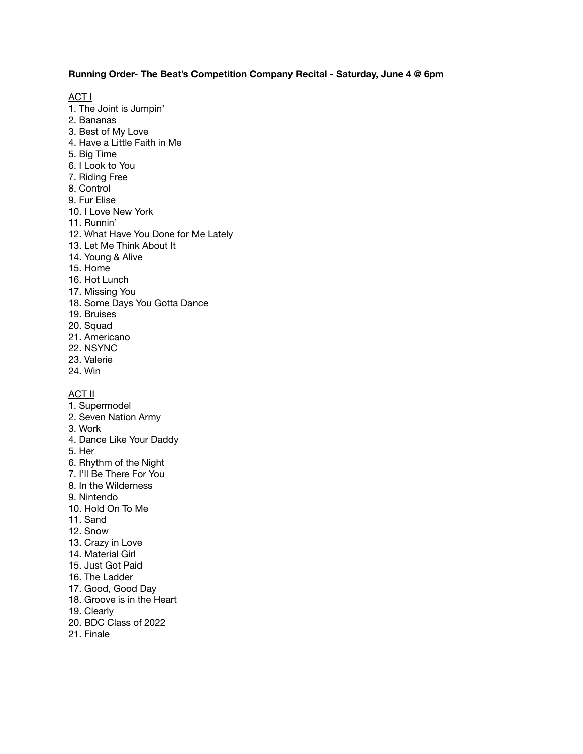# **Running Order- The Beat's Competition Company Recital - Saturday, June 4 @ 6pm**

ACT I

- 1. The Joint is Jumpin'
- 2. Bananas
- 3. Best of My Love
- 4. Have a Little Faith in Me
- 5. Big Time
- 6. I Look to You
- 7. Riding Free
- 8. Control
- 9. Fur Elise
- 10. I Love New York
- 11. Runnin'
- 12. What Have You Done for Me Lately
- 13. Let Me Think About It
- 14. Young & Alive
- 15. Home
- 16. Hot Lunch
- 17. Missing You
- 18. Some Days You Gotta Dance
- 19. Bruises
- 20. Squad
- 21. Americano
- 22. NSYNC
- 23. Valerie
- 24. Win

#### ACT II

- 1. Supermodel
- 2. Seven Nation Army
- 3. Work
- 4. Dance Like Your Daddy
- 5. Her
- 6. Rhythm of the Night
- 7. I'll Be There For You
- 8. In the Wilderness
- 9. Nintendo
- 10. Hold On To Me
- 11. Sand
- 12. Snow
- 13. Crazy in Love
- 14. Material Girl
- 15. Just Got Paid
- 16. The Ladder
- 17. Good, Good Day
- 18. Groove is in the Heart
- 19. Clearly
- 20. BDC Class of 2022
- 21. Finale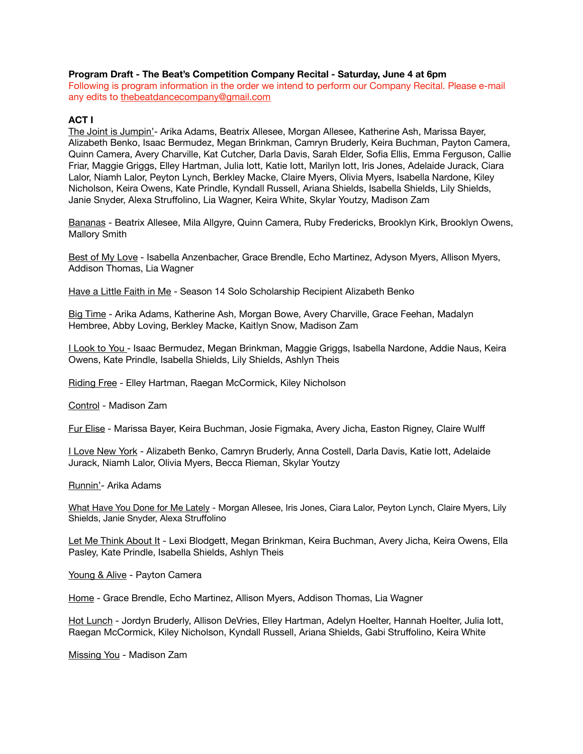## **Program Draft - The Beat's Competition Company Recital - Saturday, June 4 at 6pm**

Following is program information in the order we intend to perform our Company Recital. Please e-mail any edits to [thebeatdancecompany@gmail.com](mailto:thebeatdancecompany@gmail.com)

## **ACT I**

The Joint is Jumpin'- Arika Adams, Beatrix Allesee, Morgan Allesee, Katherine Ash, Marissa Bayer, Alizabeth Benko, Isaac Bermudez, Megan Brinkman, Camryn Bruderly, Keira Buchman, Payton Camera, Quinn Camera, Avery Charville, Kat Cutcher, Darla Davis, Sarah Elder, Sofia Ellis, Emma Ferguson, Callie Friar, Maggie Griggs, Elley Hartman, Julia Iott, Katie Iott, Marilyn Iott, Iris Jones, Adelaide Jurack, Ciara Lalor, Niamh Lalor, Peyton Lynch, Berkley Macke, Claire Myers, Olivia Myers, Isabella Nardone, Kiley Nicholson, Keira Owens, Kate Prindle, Kyndall Russell, Ariana Shields, Isabella Shields, Lily Shields, Janie Snyder, Alexa Struffolino, Lia Wagner, Keira White, Skylar Youtzy, Madison Zam

Bananas - Beatrix Allesee, Mila Allgyre, Quinn Camera, Ruby Fredericks, Brooklyn Kirk, Brooklyn Owens, Mallory Smith

Best of My Love - Isabella Anzenbacher, Grace Brendle, Echo Martinez, Adyson Myers, Allison Myers, Addison Thomas, Lia Wagner

Have a Little Faith in Me - Season 14 Solo Scholarship Recipient Alizabeth Benko

Big Time - Arika Adams, Katherine Ash, Morgan Bowe, Avery Charville, Grace Feehan, Madalyn Hembree, Abby Loving, Berkley Macke, Kaitlyn Snow, Madison Zam

I Look to You - Isaac Bermudez, Megan Brinkman, Maggie Griggs, Isabella Nardone, Addie Naus, Keira Owens, Kate Prindle, Isabella Shields, Lily Shields, Ashlyn Theis

Riding Free - Elley Hartman, Raegan McCormick, Kiley Nicholson

Control - Madison Zam

Fur Elise - Marissa Bayer, Keira Buchman, Josie Figmaka, Avery Jicha, Easton Rigney, Claire Wulff

I Love New York - Alizabeth Benko, Camryn Bruderly, Anna Costell, Darla Davis, Katie Iott, Adelaide Jurack, Niamh Lalor, Olivia Myers, Becca Rieman, Skylar Youtzy

Runnin'- Arika Adams

What Have You Done for Me Lately - Morgan Allesee, Iris Jones, Ciara Lalor, Peyton Lynch, Claire Myers, Lily Shields, Janie Snyder, Alexa Struffolino

Let Me Think About It - Lexi Blodgett, Megan Brinkman, Keira Buchman, Avery Jicha, Keira Owens, Ella Pasley, Kate Prindle, Isabella Shields, Ashlyn Theis

Young & Alive - Payton Camera

Home - Grace Brendle, Echo Martinez, Allison Myers, Addison Thomas, Lia Wagner

Hot Lunch - Jordyn Bruderly, Allison DeVries, Elley Hartman, Adelyn Hoelter, Hannah Hoelter, Julia Iott, Raegan McCormick, Kiley Nicholson, Kyndall Russell, Ariana Shields, Gabi Struffolino, Keira White

Missing You - Madison Zam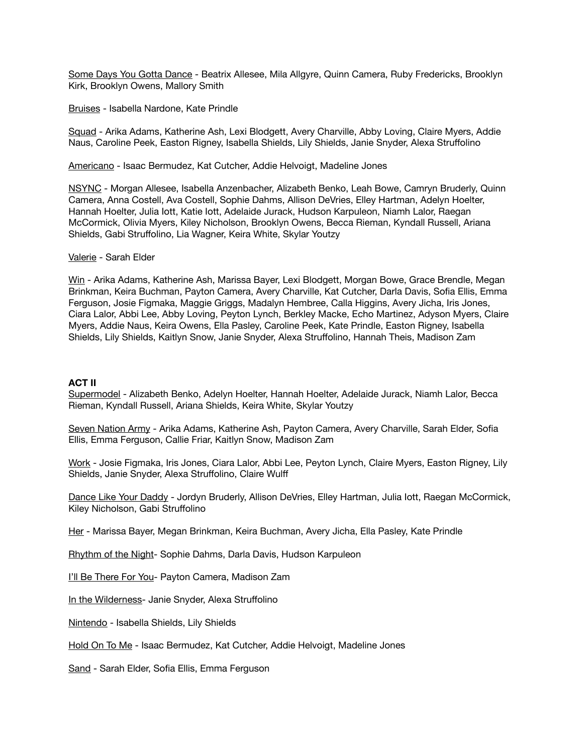Some Days You Gotta Dance - Beatrix Allesee, Mila Allgyre, Quinn Camera, Ruby Fredericks, Brooklyn Kirk, Brooklyn Owens, Mallory Smith

Bruises - Isabella Nardone, Kate Prindle

Squad - Arika Adams, Katherine Ash, Lexi Blodgett, Avery Charville, Abby Loving, Claire Myers, Addie Naus, Caroline Peek, Easton Rigney, Isabella Shields, Lily Shields, Janie Snyder, Alexa Struffolino

Americano - Isaac Bermudez, Kat Cutcher, Addie Helvoigt, Madeline Jones

NSYNC - Morgan Allesee, Isabella Anzenbacher, Alizabeth Benko, Leah Bowe, Camryn Bruderly, Quinn Camera, Anna Costell, Ava Costell, Sophie Dahms, Allison DeVries, Elley Hartman, Adelyn Hoelter, Hannah Hoelter, Julia Iott, Katie Iott, Adelaide Jurack, Hudson Karpuleon, Niamh Lalor, Raegan McCormick, Olivia Myers, Kiley Nicholson, Brooklyn Owens, Becca Rieman, Kyndall Russell, Ariana Shields, Gabi Struffolino, Lia Wagner, Keira White, Skylar Youtzy

#### Valerie - Sarah Elder

Win - Arika Adams, Katherine Ash, Marissa Bayer, Lexi Blodgett, Morgan Bowe, Grace Brendle, Megan Brinkman, Keira Buchman, Payton Camera, Avery Charville, Kat Cutcher, Darla Davis, Sofia Ellis, Emma Ferguson, Josie Figmaka, Maggie Griggs, Madalyn Hembree, Calla Higgins, Avery Jicha, Iris Jones, Ciara Lalor, Abbi Lee, Abby Loving, Peyton Lynch, Berkley Macke, Echo Martinez, Adyson Myers, Claire Myers, Addie Naus, Keira Owens, Ella Pasley, Caroline Peek, Kate Prindle, Easton Rigney, Isabella Shields, Lily Shields, Kaitlyn Snow, Janie Snyder, Alexa Struffolino, Hannah Theis, Madison Zam

## **ACT II**

Supermodel - Alizabeth Benko, Adelyn Hoelter, Hannah Hoelter, Adelaide Jurack, Niamh Lalor, Becca Rieman, Kyndall Russell, Ariana Shields, Keira White, Skylar Youtzy

Seven Nation Army - Arika Adams, Katherine Ash, Payton Camera, Avery Charville, Sarah Elder, Sofia Ellis, Emma Ferguson, Callie Friar, Kaitlyn Snow, Madison Zam

Work - Josie Figmaka, Iris Jones, Ciara Lalor, Abbi Lee, Peyton Lynch, Claire Myers, Easton Rigney, Lily Shields, Janie Snyder, Alexa Struffolino, Claire Wulff

Dance Like Your Daddy - Jordyn Bruderly, Allison DeVries, Elley Hartman, Julia lott, Raegan McCormick, Kiley Nicholson, Gabi Struffolino

Her - Marissa Bayer, Megan Brinkman, Keira Buchman, Avery Jicha, Ella Pasley, Kate Prindle

Rhythm of the Night- Sophie Dahms, Darla Davis, Hudson Karpuleon

I'll Be There For You- Payton Camera, Madison Zam

In the Wilderness- Janie Snyder, Alexa Struffolino

Nintendo - Isabella Shields, Lily Shields

Hold On To Me - Isaac Bermudez, Kat Cutcher, Addie Helvoigt, Madeline Jones

Sand - Sarah Elder, Sofia Ellis, Emma Ferguson